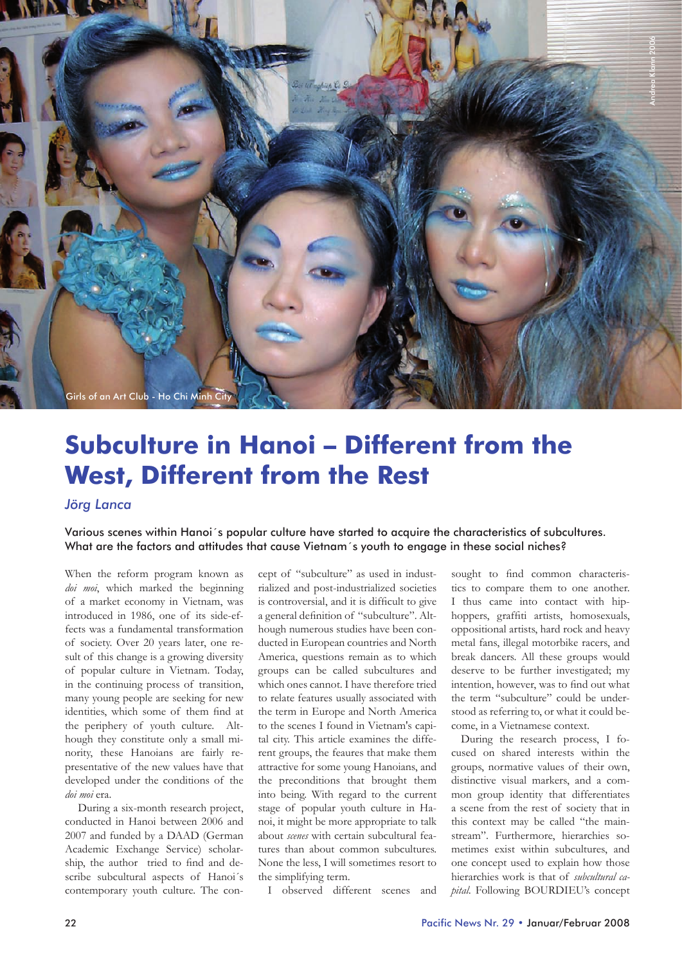

# **Subculture in Hanoi – Different from the West, Different from the Rest**

# *Jörg Lanca*

Various scenes within Hanoi´s popular culture have started to acquire the characteristics of subcultures. What are the factors and attitudes that cause Vietnam´s youth to engage in these social niches?

When the reform program known as *doi moi*, which marked the beginning of a market economy in Vietnam, was introduced in 1986, one of its side-effects was a fundamental transformation of society. Over 20 years later, one result of this change is a growing diversity of popular culture in Vietnam. Today, in the continuing process of transition, many young people are seeking for new identities, which some of them find at the periphery of youth culture. Although they constitute only a small minority, these Hanoians are fairly representative of the new values have that developed under the conditions of the *doi moi* era.

 During a six-month research project, conducted in Hanoi between 2006 and 2007 and funded by a DAAD (German Academic Exchange Service) scholarship, the author tried to find and describe subcultural aspects of Hanoi´s contemporary youth culture. The concept of "subculture" as used in industrialized and post-industrialized societies is controversial, and it is difficult to give a general definition of "subculture". Although numerous studies have been conducted in European countries and North America, questions remain as to which groups can be called subcultures and which ones cannot. I have therefore tried to relate features usually associated with the term in Europe and North America to the scenes I found in Vietnam's capital city. This article examines the different groups, the feaures that make them attractive for some young Hanoians, and the preconditions that brought them into being. With regard to the current stage of popular youth culture in Hanoi, it might be more appropriate to talk about *scenes* with certain subcultural features than about common subcultures. None the less, I will sometimes resort to the simplifying term.

sought to find common characteristics to compare them to one another. I thus came into contact with hiphoppers, graffiti artists, homosexuals, oppositional artists, hard rock and heavy metal fans, illegal motorbike racers, and break dancers. All these groups would deserve to be further investigated; my intention, however, was to find out what the term "subculture" could be understood as referring to, or what it could become, in a Vietnamese context.

During the research process, I focused on shared interests within the groups, normative values of their own, distinctive visual markers, and a common group identity that differentiates a scene from the rest of society that in this context may be called "the mainstream". Furthermore, hierarchies sometimes exist within subcultures, and one concept used to explain how those hierarchies work is that of *subcultural capital*. Following BOURDIEU's concept

I observed different scenes and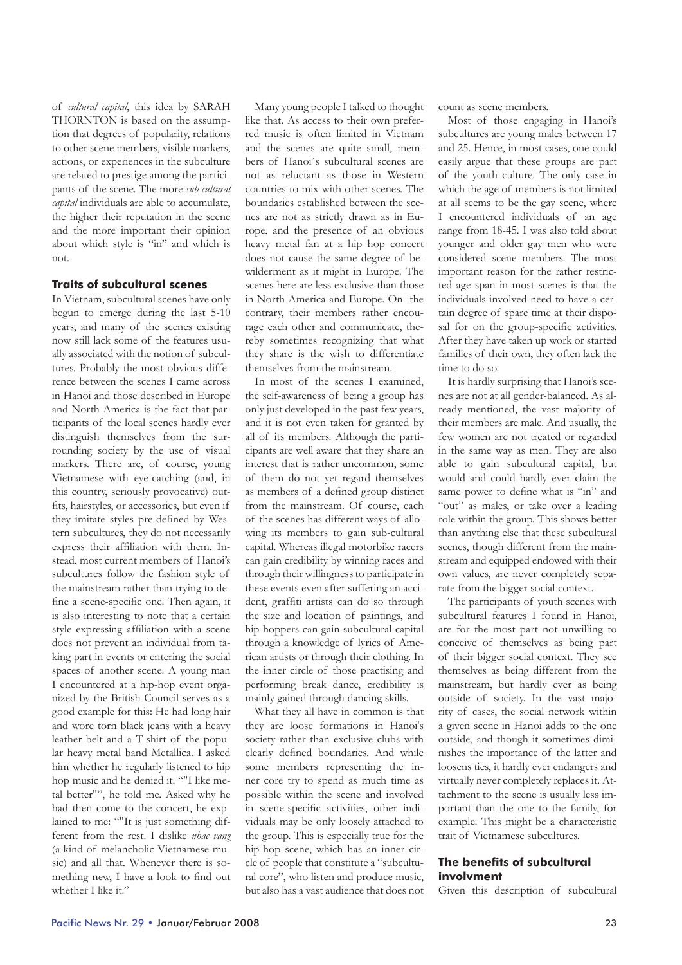of *cultural capital*, this idea by SARAH THORNTON is based on the assumption that degrees of popularity, relations to other scene members, visible markers, actions, or experiences in the subculture are related to prestige among the participants of the scene. The more *sub-cultural capital* individuals are able to accumulate, the higher their reputation in the scene and the more important their opinion about which style is "in" and which is not.

## **Traits of subcultural scenes**

In Vietnam, subcultural scenes have only begun to emerge during the last 5-10 years, and many of the scenes existing now still lack some of the features usually associated with the notion of subcultures. Probably the most obvious difference between the scenes I came across in Hanoi and those described in Europe and North America is the fact that participants of the local scenes hardly ever distinguish themselves from the surrounding society by the use of visual markers. There are, of course, young Vietnamese with eye-catching (and, in this country, seriously provocative) outfits, hairstyles, or accessories, but even if they imitate styles pre-defined by Western subcultures, they do not necessarily express their affiliation with them. Instead, most current members of Hanoi's subcultures follow the fashion style of the mainstream rather than trying to define a scene-specific one. Then again, it is also interesting to note that a certain style expressing affiliation with a scene does not prevent an individual from taking part in events or entering the social spaces of another scene. A young man I encountered at a hip-hop event organized by the British Council serves as a good example for this: He had long hair and wore torn black jeans with a heavy leather belt and a T-shirt of the popular heavy metal band Metallica. I asked him whether he regularly listened to hip hop music and he denied it. ""I like metal better"", he told me. Asked why he had then come to the concert, he explained to me: ""It is just something different from the rest. I dislike *nhac vang* (a kind of melancholic Vietnamese music) and all that. Whenever there is something new, I have a look to find out whether I like it."

Many young people I talked to thought like that. As access to their own preferred music is often limited in Vietnam and the scenes are quite small, members of Hanoi´s subcultural scenes are not as reluctant as those in Western countries to mix with other scenes. The boundaries established between the scenes are not as strictly drawn as in Europe, and the presence of an obvious heavy metal fan at a hip hop concert does not cause the same degree of bewilderment as it might in Europe. The scenes here are less exclusive than those in North America and Europe. On the contrary, their members rather encourage each other and communicate, thereby sometimes recognizing that what they share is the wish to differentiate themselves from the mainstream.

In most of the scenes I examined, the self-awareness of being a group has only just developed in the past few years, and it is not even taken for granted by all of its members. Although the participants are well aware that they share an interest that is rather uncommon, some of them do not yet regard themselves as members of a defined group distinct from the mainstream. Of course, each of the scenes has different ways of allowing its members to gain sub-cultural capital. Whereas illegal motorbike racers can gain credibility by winning races and through their willingness to participate in these events even after suffering an accident, graffiti artists can do so through the size and location of paintings, and hip-hoppers can gain subcultural capital through a knowledge of lyrics of American artists or through their clothing. In the inner circle of those practising and performing break dance, credibility is mainly gained through dancing skills.

What they all have in common is that they are loose formations in Hanoi's society rather than exclusive clubs with clearly defined boundaries. And while some members representing the inner core try to spend as much time as possible within the scene and involved in scene-specific activities, other individuals may be only loosely attached to the group. This is especially true for the hip-hop scene, which has an inner circle of people that constitute a "subcultural core", who listen and produce music, but also has a vast audience that does not

count as scene members.

Most of those engaging in Hanoi's subcultures are young males between 17 and 25. Hence, in most cases, one could easily argue that these groups are part of the youth culture. The only case in which the age of members is not limited at all seems to be the gay scene, where I encountered individuals of an age range from 18-45. I was also told about younger and older gay men who were considered scene members. The most important reason for the rather restricted age span in most scenes is that the individuals involved need to have a certain degree of spare time at their disposal for on the group-specific activities. After they have taken up work or started families of their own, they often lack the time to do so.

It is hardly surprising that Hanoi's scenes are not at all gender-balanced. As already mentioned, the vast majority of their members are male. And usually, the few women are not treated or regarded in the same way as men. They are also able to gain subcultural capital, but would and could hardly ever claim the same power to define what is "in" and "out" as males, or take over a leading role within the group. This shows better than anything else that these subcultural scenes, though different from the mainstream and equipped endowed with their own values, are never completely separate from the bigger social context.

The participants of youth scenes with subcultural features I found in Hanoi, are for the most part not unwilling to conceive of themselves as being part of their bigger social context. They see themselves as being different from the mainstream, but hardly ever as being outside of society. In the vast majority of cases, the social network within a given scene in Hanoi adds to the one outside, and though it sometimes diminishes the importance of the latter and loosens ties, it hardly ever endangers and virtually never completely replaces it. Attachment to the scene is usually less important than the one to the family, for example. This might be a characteristic trait of Vietnamese subcultures.

## **The benefits of subcultural involvment**

Given this description of subcultural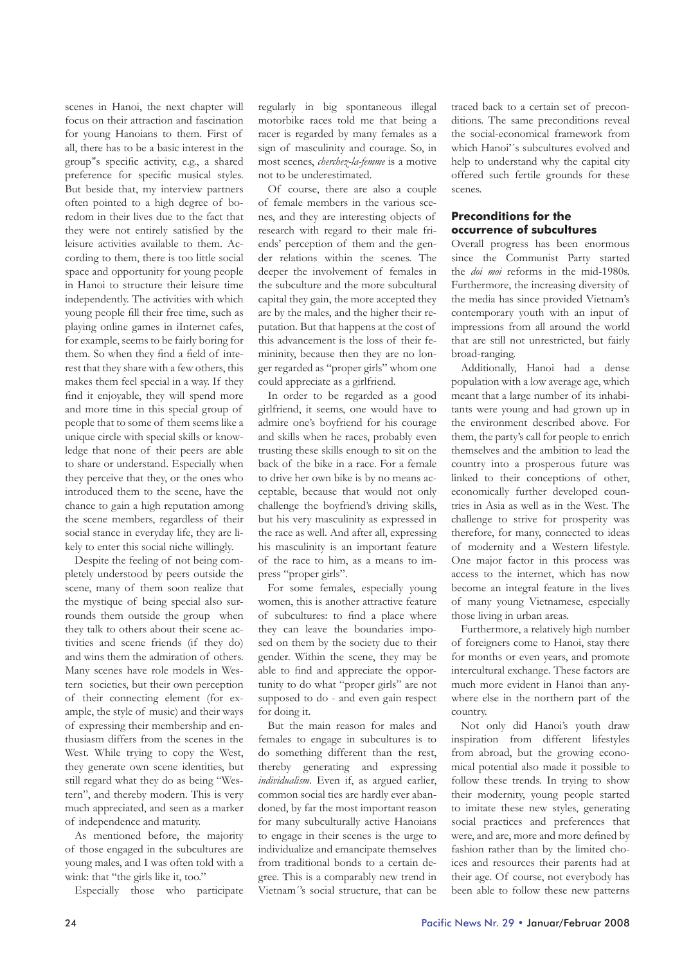scenes in Hanoi, the next chapter will focus on their attraction and fascination for young Hanoians to them. First of all, there has to be a basic interest in the group''s specific activity, e.g., a shared preference for specific musical styles. But beside that, my interview partners often pointed to a high degree of boredom in their lives due to the fact that they were not entirely satisfied by the leisure activities available to them. According to them, there is too little social space and opportunity for young people in Hanoi to structure their leisure time independently. The activities with which young people fill their free time, such as playing online games in iInternet cafes, for example, seems to be fairly boring for them. So when they find a field of interest that they share with a few others, this makes them feel special in a way. If they find it enjoyable, they will spend more and more time in this special group of people that to some of them seems like a unique circle with special skills or knowledge that none of their peers are able to share or understand. Especially when they perceive that they, or the ones who introduced them to the scene, have the chance to gain a high reputation among the scene members, regardless of their social stance in everyday life, they are likely to enter this social niche willingly.

Despite the feeling of not being completely understood by peers outside the scene, many of them soon realize that the mystique of being special also surrounds them outside the group when they talk to others about their scene activities and scene friends (if they do) and wins them the admiration of others. Many scenes have role models in Western societies, but their own perception of their connecting element (for example, the style of music) and their ways of expressing their membership and enthusiasm differs from the scenes in the West. While trying to copy the West, they generate own scene identities, but still regard what they do as being "Western", and thereby modern. This is very much appreciated, and seen as a marker of independence and maturity.

As mentioned before, the majority of those engaged in the subcultures are young males, and I was often told with a wink: that "the girls like it, too."

Especially those who participate

regularly in big spontaneous illegal motorbike races told me that being a racer is regarded by many females as a sign of masculinity and courage. So, in most scenes, *cherchez-la-femme* is a motive not to be underestimated.

Of course, there are also a couple of female members in the various scenes, and they are interesting objects of research with regard to their male friends' perception of them and the gender relations within the scenes. The deeper the involvement of females in the subculture and the more subcultural capital they gain, the more accepted they are by the males, and the higher their reputation. But that happens at the cost of this advancement is the loss of their femininity, because then they are no longer regarded as "proper girls" whom one could appreciate as a girlfriend.

In order to be regarded as a good girlfriend, it seems, one would have to admire one's boyfriend for his courage and skills when he races, probably even trusting these skills enough to sit on the back of the bike in a race. For a female to drive her own bike is by no means acceptable, because that would not only challenge the boyfriend's driving skills, but his very masculinity as expressed in the race as well. And after all, expressing his masculinity is an important feature of the race to him, as a means to impress "proper girls".

For some females, especially young women, this is another attractive feature of subcultures: to find a place where they can leave the boundaries imposed on them by the society due to their gender. Within the scene, they may be able to find and appreciate the opportunity to do what "proper girls" are not supposed to do - and even gain respect for doing it.

But the main reason for males and females to engage in subcultures is to do something different than the rest, thereby generating and expressing *individualism*. Even if, as argued earlier, common social ties are hardly ever abandoned, by far the most important reason for many subculturally active Hanoians to engage in their scenes is the urge to individualize and emancipate themselves from traditional bonds to a certain degree. This is a comparably new trend in Vietnam´'s social structure, that can be

traced back to a certain set of preconditions. The same preconditions reveal the social-economical framework from which Hanoi'´s subcultures evolved and help to understand why the capital city offered such fertile grounds for these scenes.

### **Preconditions for the occurrence of subcultures**

Overall progress has been enormous since the Communist Party started the *doi moi* reforms in the mid-1980s. Furthermore, the increasing diversity of the media has since provided Vietnam's contemporary youth with an input of impressions from all around the world that are still not unrestricted, but fairly broad-ranging.

Additionally, Hanoi had a dense population with a low average age, which meant that a large number of its inhabitants were young and had grown up in the environment described above. For them, the party's call for people to enrich themselves and the ambition to lead the country into a prosperous future was linked to their conceptions of other, economically further developed countries in Asia as well as in the West. The challenge to strive for prosperity was therefore, for many, connected to ideas of modernity and a Western lifestyle. One major factor in this process was access to the internet, which has now become an integral feature in the lives of many young Vietnamese, especially those living in urban areas.

Furthermore, a relatively high number of foreigners come to Hanoi, stay there for months or even years, and promote intercultural exchange. These factors are much more evident in Hanoi than anywhere else in the northern part of the country.

Not only did Hanoi's youth draw inspiration from different lifestyles from abroad, but the growing economical potential also made it possible to follow these trends. In trying to show their modernity, young people started to imitate these new styles, generating social practices and preferences that were, and are, more and more defined by fashion rather than by the limited choices and resources their parents had at their age. Of course, not everybody has been able to follow these new patterns